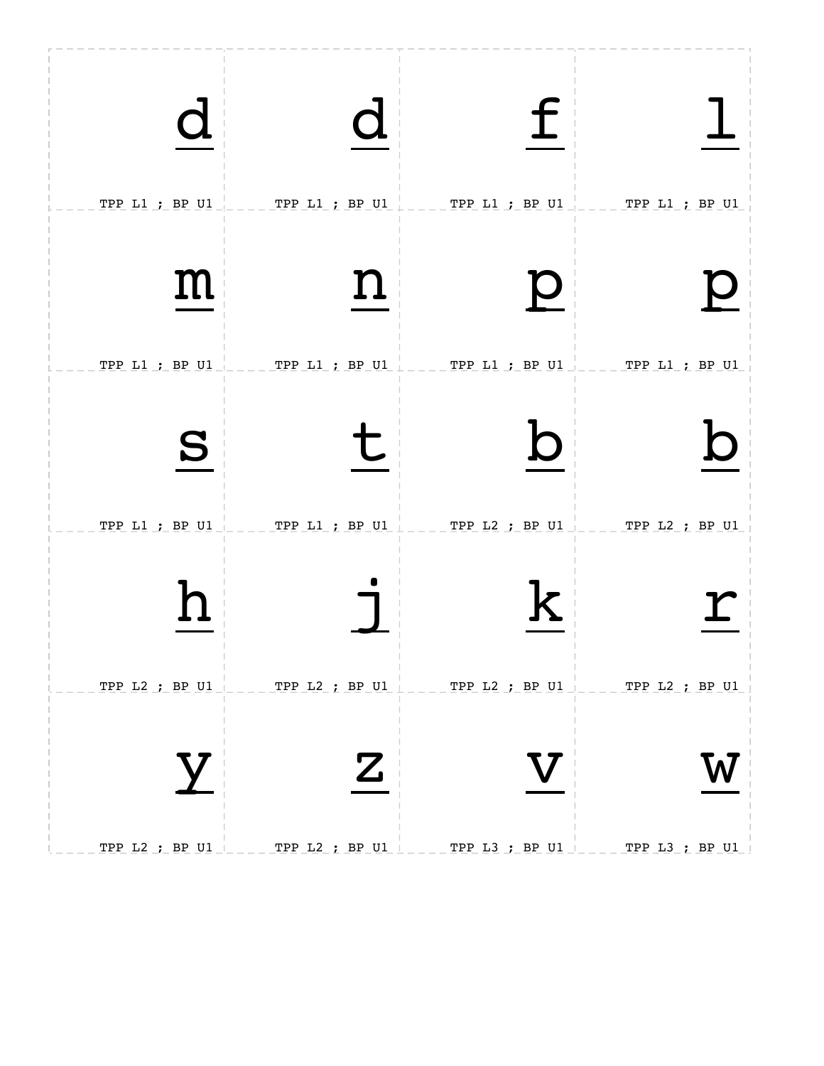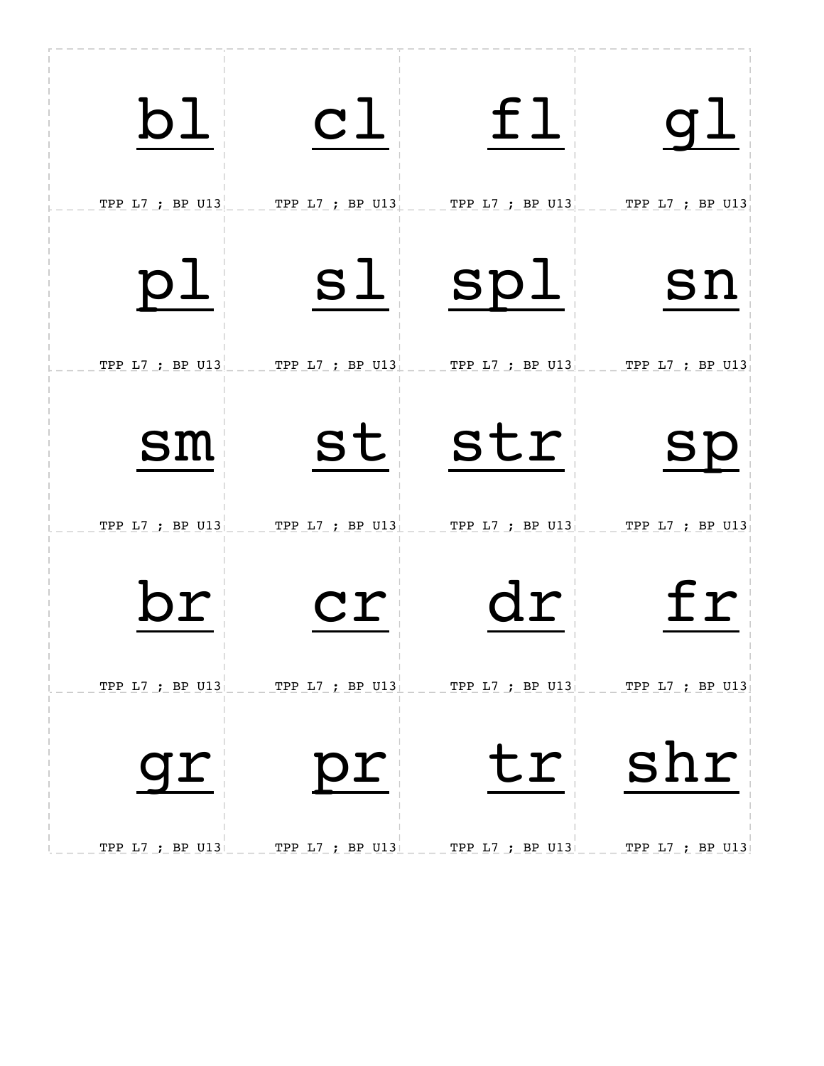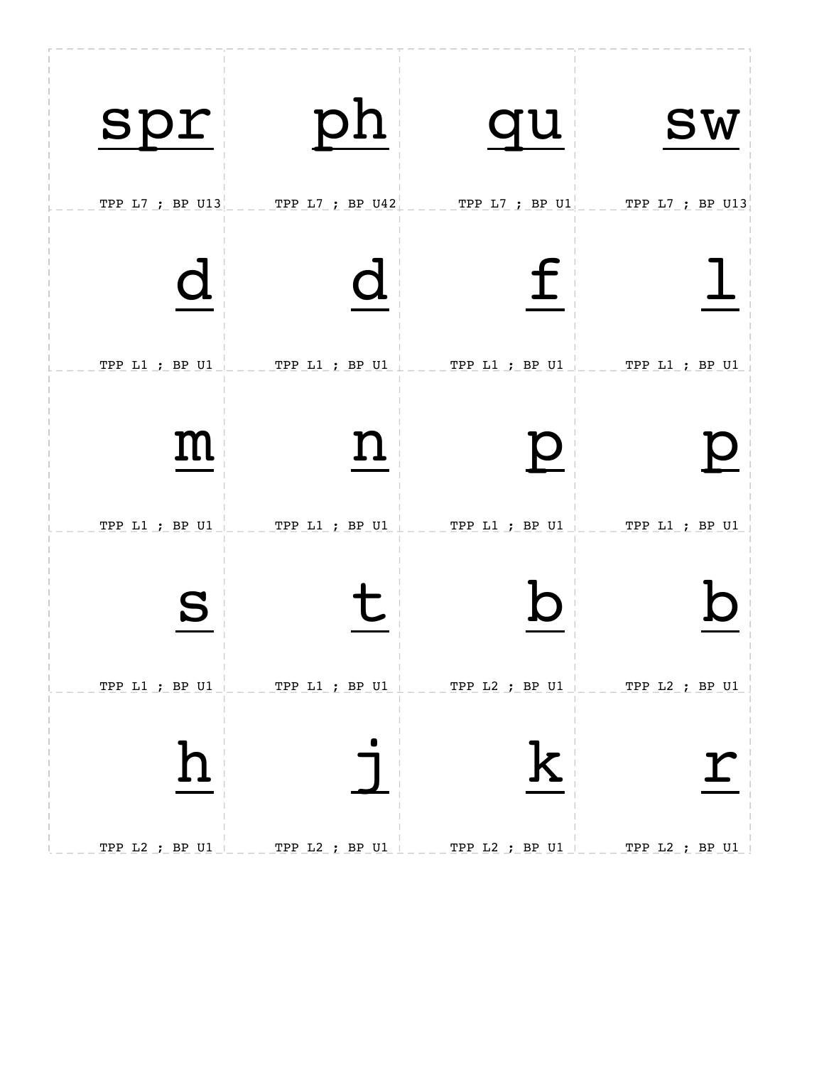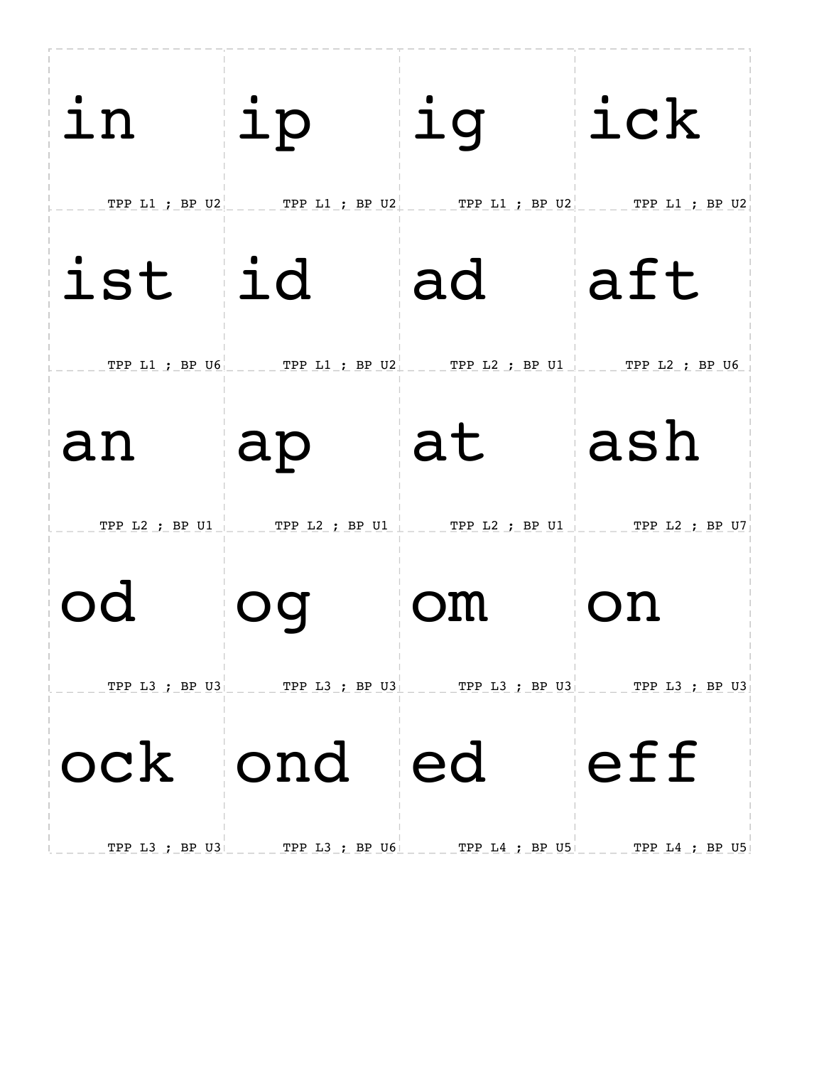| in                    | ip                                                                                        | ig                   | ick                   |
|-----------------------|-------------------------------------------------------------------------------------------|----------------------|-----------------------|
| TPP L1 ; BP U2<br>ist | TPP L1 ; BP U2<br>id                                                                      | TPP L1 ; BP U2<br>ad | TPP L1 ; BP U2<br>aft |
| TPP L1 ; BP U6        | TPP $LI$ ; BP $U2$                                                                        | TPP L2 ; BP U1       | TPP L2 ; BP U6        |
| an<br>TPP L2 ; BP U1  | ap<br>TPP L2 : BP U1                                                                      | at<br>TPP L2 ; BP U1 | ash<br>TPP L2 ; BP U7 |
| od                    | Oq                                                                                        | OM                   | on                    |
|                       | TPP L3 ; BP U3 _____ TPP L3 ; BP U3 ____ TPP L3 ; BP U3 ____ TPP L3 ; BP U3<br>ock ond ed |                      | eff                   |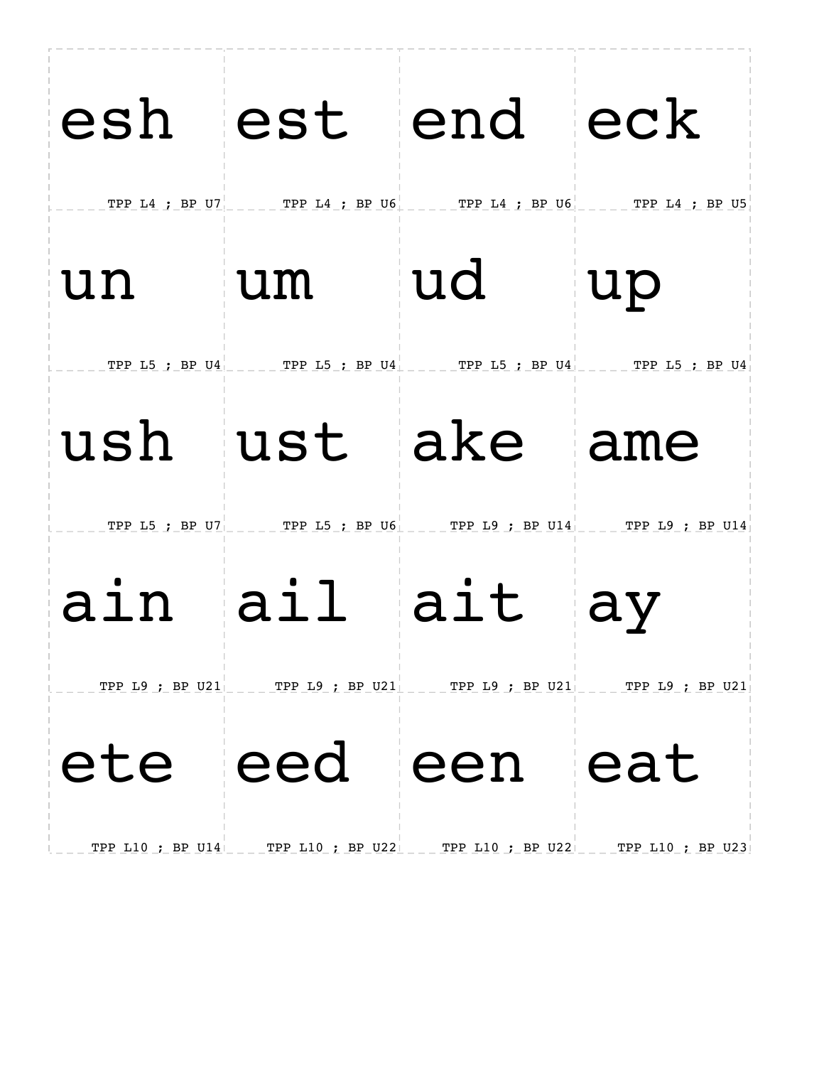|                  |                                                                                                                                                                                                                                                                                                                                                                                                                                                                                 | esh est end eck<br>TPP L4 ; BP U7 _____ TPP L4 ; BP U6 ____ TPP L4 ; BP U6 ____ TPP L4 ; BP U5    |                                      |
|------------------|---------------------------------------------------------------------------------------------------------------------------------------------------------------------------------------------------------------------------------------------------------------------------------------------------------------------------------------------------------------------------------------------------------------------------------------------------------------------------------|---------------------------------------------------------------------------------------------------|--------------------------------------|
| un               | um                                                                                                                                                                                                                                                                                                                                                                                                                                                                              | ud                                                                                                | up                                   |
|                  |                                                                                                                                                                                                                                                                                                                                                                                                                                                                                 | TPP L5 ; BP U4 TPP L5 ; BP U4 TPP L5 ; BP U4 TPP L5 ; BP U4<br>ush ust ake ame                    |                                      |
| ain ail          |                                                                                                                                                                                                                                                                                                                                                                                                                                                                                 | TPP L5 : BP U7 _____ TPP L5 : BP U6 ____ TPP L9 : BP U14 ____ TPP L9 : BP U14<br>ait ay           |                                      |
| TPP L10 ; BP U14 | $\overline{\phantom{0}}$ $\overline{\phantom{0}}$ $\overline{\phantom{0}}$ $\overline{\phantom{0}}$ $\overline{\phantom{0}}$ $\overline{\phantom{0}}$ $\overline{\phantom{0}}$ $\overline{\phantom{0}}$ $\overline{\phantom{0}}$ $\overline{\phantom{0}}$ $\overline{\phantom{0}}$ $\overline{\phantom{0}}$ $\overline{\phantom{0}}$ $\overline{\phantom{0}}$ $\overline{\phantom{0}}$ $\overline{\phantom{0}}$ $\overline{\phantom{0}}$ $\overline{\phantom{0}}$ $\overline{\$ | TPP L9 ; BP U21 ____ TPP L9 ; BP U21 ____ TPP L9 ; BP U21 ____ TPP L9 ; BP U21<br>ete eed een eat | TPP L10 ; BP U22 __ TPP L10 ; BP U23 |